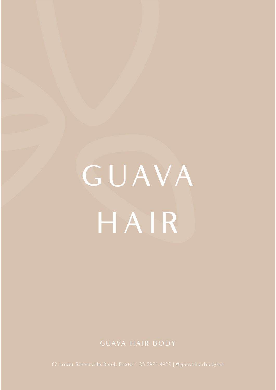# G UAVA HAIR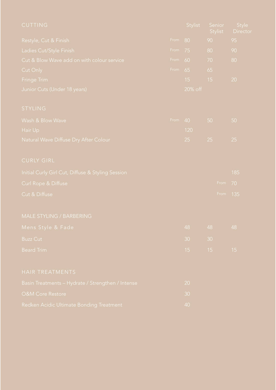| <b>CUTTING</b>                                    |      | Stylist |    | Senior<br>Stylist | <b>Style</b><br><b>Director</b> |
|---------------------------------------------------|------|---------|----|-------------------|---------------------------------|
| Restyle, Cut & Finish                             | From | 80      | 90 |                   | 95                              |
| Ladies Cut/Style Finish                           | From | 75      | 80 |                   | 90                              |
| Cut & Blow Wave add on with colour service        | From | 60      | 70 |                   | 80                              |
| Cut Only                                          | From | 65      | 65 |                   |                                 |
| Fringe Trim                                       |      | 15      | 15 |                   | 20                              |
| Junior Cuts (Under 18 years)                      |      | 20% off |    |                   |                                 |
| STYLING                                           |      |         |    |                   |                                 |
| Wash & Blow Wave                                  | From | 40      | 50 |                   | 50                              |
| Hair Up                                           |      | 120     |    |                   |                                 |
| Natural Wave Diffuse Dry After Colour             |      | 25      | 25 |                   | 25                              |
| <b>CURLY GIRL</b>                                 |      |         |    |                   |                                 |
| Initial Curly Girl Cut, Diffuse & Styling Session |      |         |    |                   | 185                             |
| Curl Rope & Diffuse                               |      |         |    | From              | 70                              |
| Cut & Diffuse                                     |      |         |    | From              | 135                             |
| MALE STYLING / BARBERING                          |      |         |    |                   |                                 |
| Mens Style & Fade                                 |      | 48      |    | 48 48             |                                 |
| <b>Buzz Cut</b>                                   |      | 30      | 30 |                   |                                 |
| <b>Beard Trim</b>                                 |      | 15      | 15 |                   | 15                              |
| HAIR TREATMENTS                                   |      |         |    |                   |                                 |
| Basin Treatments - Hydrate / Strengthen / Intense |      | 20      |    |                   |                                 |
| <b>O&amp;M Core Restore</b>                       |      | 30      |    |                   |                                 |
|                                                   |      |         |    |                   |                                 |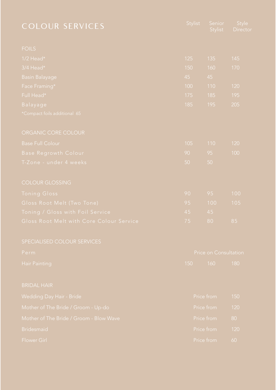| <b>COLOUR SERVICES</b>                   | Stylist               | Senior<br>Stylist | Style<br>Director |  |
|------------------------------------------|-----------------------|-------------------|-------------------|--|
| <b>FOILS</b>                             |                       |                   |                   |  |
| $1/2$ Head*                              | 125                   | 135               | 145               |  |
| 3/4 Head*                                | 150                   | 160               | 170               |  |
| <b>Basin Balayage</b>                    | 45                    | 45                |                   |  |
| Face Framing*                            | 100                   | 110               | 120               |  |
| Full Head*                               | 175                   | 185               | 195               |  |
| Balayage                                 | 185                   | 195               | 205               |  |
| *Compact foils additional 65             |                       |                   |                   |  |
| ORGANIC CORE COLOUR                      |                       |                   |                   |  |
| <b>Base Full Colour</b>                  | 105                   | 110               | 120               |  |
| <b>Base Regrowth Colour</b>              | 90                    | 95                | 100               |  |
| T-Zone - under 4 weeks                   | 50                    | 50                |                   |  |
| <b>COLOUR GLOSSING</b>                   |                       |                   |                   |  |
| <b>Toning Gloss</b>                      | 90                    | 95                | 100               |  |
| Gloss Root Melt (Two Tone)               | 95                    | 100               | 105               |  |
| Toning / Gloss with Foil Service         | 45                    | 45                |                   |  |
| Gloss Root Melt with Core Colour Service | $7\,5$                | $80\,$            | 85                |  |
| SPECIALISED COLOUR SERVICES              |                       |                   |                   |  |
| Perm                                     | Price on Consultation |                   |                   |  |
| <b>Hair Painting</b>                     | 150                   | 160               | 180               |  |
| <b>BRIDAL HAIR</b>                       |                       |                   |                   |  |
| Wedding Day Hair - Bride                 | Price from            |                   | 150               |  |
| Mother of The Bride / Groom - Up-do      |                       | Price from        | 120               |  |
| Mother of The Bride / Groom - Blow Wave  |                       | Price from        | 80                |  |